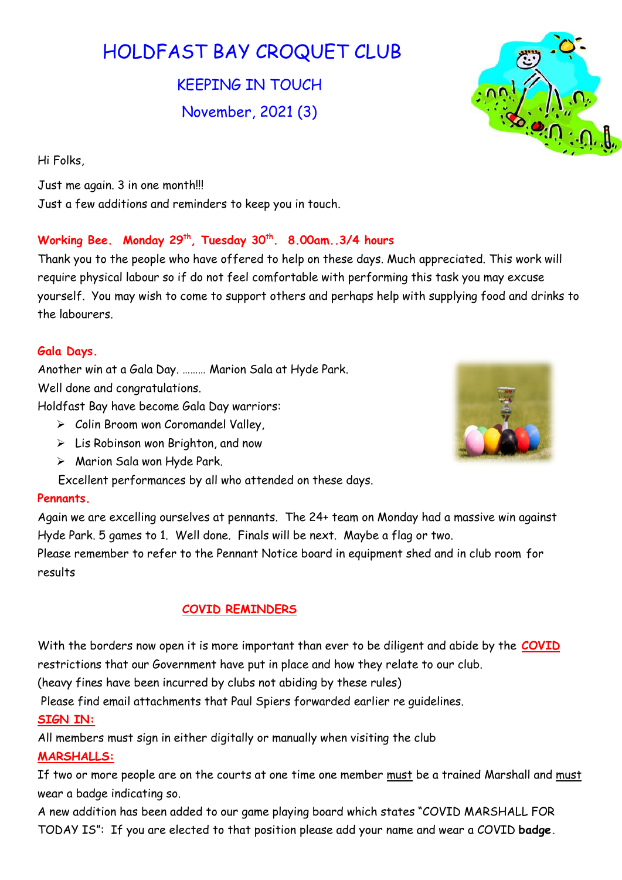# HOLDFAST BAY CROQUET CLUB

KEEPING IN TOUCH November, 2021 (3)

Hi Folks,

Just me again. 3 in one month!!! Just a few additions and reminders to keep you in touch.

## Working Bee. Monday 29<sup>th</sup>, Tuesday 30<sup>th</sup>. 8.00am..3/4 hours

Thank you to the people who have offered to help on these days. Much appreciated. This work will require physical labour so if do not feel comfortable with performing this task you may excuse yourself. You may wish to come to support others and perhaps help with supplying food and drinks to the labourers.

## Gala Days.

Another win at a Gala Day. ……… Marion Sala at Hyde Park. Well done and congratulations.

Holdfast Bay have become Gala Day warriors:

- $\triangleright$  Colin Broom won Coromandel Valley,
- $\triangleright$  Lis Robinson won Brighton, and now
- > Marion Sala won Hyde Park.
- Excellent performances by all who attended on these days.

### Pennants.

Again we are excelling ourselves at pennants. The 24+ team on Monday had a massive win against Hyde Park. 5 games to 1. Well done. Finals will be next. Maybe a flag or two.

Please remember to refer to the Pennant Notice board in equipment shed and in club room for results

## COVID REMINDERS

With the borders now open it is more important than ever to be diligent and abide by the **COVID** restrictions that our Government have put in place and how they relate to our club.

(heavy fines have been incurred by clubs not abiding by these rules)

Please find email attachments that Paul Spiers forwarded earlier re guidelines.

## SIGN IN:

All members must sign in either digitally or manually when visiting the club MARSHALLS:

If two or more people are on the courts at one time one member must be a trained Marshall and must wear a badge indicating so.

A new addition has been added to our game playing board which states "COVID MARSHALL FOR TODAY IS": If you are elected to that position please add your name and wear a COVID badge.